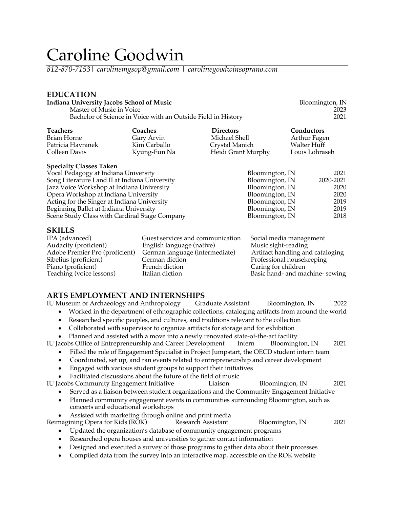# Caroline Goodwin

*812-870-7153*| *carolinemgsop@gmail.com* | *carolinegoodwinsoprano.com*

### **EDUCATION**

| Indiana University Jacobs School of Music |                                                               |                    | Bloomington, IN |  |
|-------------------------------------------|---------------------------------------------------------------|--------------------|-----------------|--|
| Master of Music in Voice                  |                                                               |                    | 2023            |  |
|                                           | Bachelor of Science in Voice with an Outside Field in History |                    | 2021            |  |
| <b>Teachers</b>                           | Coaches                                                       | <b>Directors</b>   | Conductors      |  |
| Brian Horne                               | Gary Arvin                                                    | Michael Shell      | Arthur Fagen    |  |
| Patricia Havranek                         | Kim Carballo                                                  | Crystal Manich     | Walter Huff     |  |
| Colleen Davis                             | Kyung-Eun Na                                                  | Heidi Grant Murphy | Louis Lohraseb  |  |

Kyung-Eun Na **Heidi Grant Murphy** 

### **Specialty Classes Taken**

| Vocal Pedagogy at Indiana University           | Bloomington, IN | 2021      |
|------------------------------------------------|-----------------|-----------|
| Song Literature I and II at Indiana University | Bloomington, IN | 2020-2021 |
| Jazz Voice Workshop at Indiana University      | Bloomington, IN | 2020      |
| Opera Workshop at Indiana University           | Bloomington, IN | 2020      |
| Acting for the Singer at Indiana University    | Bloomington, IN | 2019      |
| Beginning Ballet at Indiana University         | Bloomington, IN | 2019      |
| Scene Study Class with Cardinal Stage Company  | Bloomington, IN | 2018      |
|                                                |                 |           |

### **SKILLS**

| IPA (advanced)                 | Guest services and communication | Social media management          |
|--------------------------------|----------------------------------|----------------------------------|
| Audacity (proficient)          | English language (native)        | Music sight-reading              |
| Adobe Premier Pro (proficient) | German language (intermediate)   | Artifact handling and cataloging |
| Sibelius (proficient)          | German diction                   | Professional housekeeping        |
| Piano (proficient)             | French diction                   | Caring for children              |
| Teaching (voice lessons)       | Italian diction                  | Basic hand- and machine-sewing   |

**ARTS EMPLOYMENT AND INTERNSHIPS** IU Museum of Archaeology and Anthropology Graduate Assistant Bloomington, IN 2022

- Worked in the department of ethnographic collections, cataloging artifacts from around the world
- Researched specific peoples, and cultures, and traditions relevant to the collection
- Collaborated with supervisor to organize artifacts for storage and for exhibition
- Planned and assisted with a move into a newly renovated state-of-the-art facility

IU Jacobs Office of Entrepreneurship and Career Development Intern Bloomington, IN 2021

- Filled the role of Engagement Specialist in Project Jumpstart, the OECD student intern team
- Coordinated, set up, and ran events related to entrepreneurship and career development
- Engaged with various student groups to support their initiatives
- Facilitated discussions about the future of the field of music IU Jacobs Community Engagement Initiative Liaison Bloomington, IN 2021
	- Served as a liaison between student organizations and the Community Engagement Initiative
	- Planned community engagement events in communities surrounding Bloomington, such as concerts and educational workshops
	- Assisted with marketing through online and print media

Reimagining Opera for Kids (ROK) Research Assistant Bloomington, IN 2021

- Updated the organization's database of community engagement programs
- Researched opera houses and universities to gather contact information
- Designed and executed a survey of those programs to gather data about their processes
- Compiled data from the survey into an interactive map, accessible on the ROK website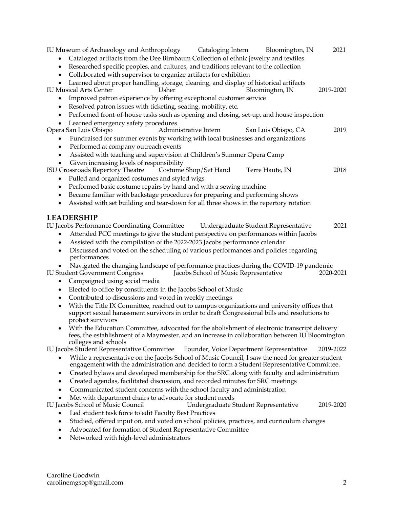IU Museum of Archaeology and Anthropology Cataloging Intern Bloomington, IN 2021 • Cataloged artifacts from the Dee Birnbaum Collection of ethnic jewelry and textiles • Researched specific peoples, and cultures, and traditions relevant to the collection • Collaborated with supervisor to organize artifacts for exhibition Learned about proper handling, storage, cleaning, and display of historical artifacts<br>ical Arts Center Usher Bloomington, IN IU Musical Arts Center Usher Bloomington, IN 2019-2020 • Improved patron experience by offering exceptional customer service • Resolved patron issues with ticketing, seating, mobility, etc. • Performed front-of-house tasks such as opening and closing, set-up, and house inspection • Learned emergency safety procedures Opera San Luis Obispo Administrative Intern San Luis Obispo, CA 2019 • Fundraised for summer events by working with local businesses and organizations Performed at company outreach events • Assisted with teaching and supervision at Children's Summer Opera Camp Given increasing levels of responsibility<br>
Sissroads Repertory Theatre Costume Shop/Set Hand ISU Crossroads Repertory Theatre Costume Shop/Set Hand Terre Haute, IN 2018 • Pulled and organized costumes and styled wigs • Performed basic costume repairs by hand and with a sewing machine • Became familiar with backstage procedures for preparing and performing shows • Assisted with set building and tear-down for all three shows in the repertory rotation **LEADERSHIP** IU Jacobs Performance Coordinating Committee Undergraduate Student Representative 2021 • Attended PCC meetings to give the student perspective on performances within Jacobs • Assisted with the compilation of the 2022-2023 Jacobs performance calendar • Discussed and voted on the scheduling of various performances and policies regarding performances • Navigated the changing landscape of performance practices during the COVID-19 pandemic IU Student Government Congress Jacobs School of Music Representative 2020-2021 • Campaigned using social media • Elected to office by constituents in the Jacobs School of Music • Contributed to discussions and voted in weekly meetings • With the Title IX Committee, reached out to campus organizations and university offices that support sexual harassment survivors in order to draft Congressional bills and resolutions to protect survivors • With the Education Committee, advocated for the abolishment of electronic transcript delivery fees, the establishment of a Maymester, and an increase in collaboration between IU Bloomington colleges and schools IU Jacobs Student Representative Committee Founder, Voice Department Representative 2019-2022 • While a representative on the Jacobs School of Music Council, I saw the need for greater student engagement with the administration and decided to form a Student Representative Committee. • Created bylaws and developed membership for the SRC along with faculty and administration • Created agendas, facilitated discussion, and recorded minutes for SRC meetings • Communicated student concerns with the school faculty and administration • Met with department chairs to advocate for student needs<br>IU Jacobs School of Music Council Undergraduate S Undergraduate Student Representative 2019-2020 Led student task force to edit Faculty Best Practices • Studied, offered input on, and voted on school policies, practices, and curriculum changes • Advocated for formation of Student Representative Committee • Networked with high-level administrators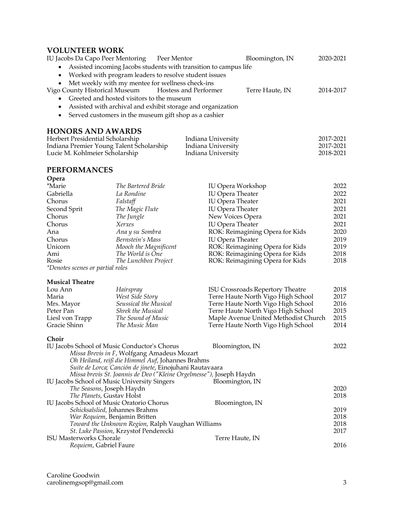# **VOLUNTEER WORK**

| IU Jacobs Da Capo Peer Mentoring Peer Mentor                                                              | Bloomington, IN | 2020-2021 |
|-----------------------------------------------------------------------------------------------------------|-----------------|-----------|
| • Assisted incoming Jacobs students with transition to campus life                                        |                 |           |
| • Worked with program leaders to resolve student issues                                                   |                 |           |
| • Met weekly with my mentee for wellness check-ins<br>Vigo County Historical Museum Hostess and Performer | Terre Haute, IN | 2014-2017 |
| • Greeted and hosted visitors to the museum                                                               |                 |           |
| • Assisted with archival and exhibit storage and organization                                             |                 |           |
| • Served customers in the museum gift shop as a cashier                                                   |                 |           |
| <b>HONORS AND AWARDS</b>                                                                                  |                 |           |

| Herbert Presidential Scholarship         | Indiana University | 2017-2021 |
|------------------------------------------|--------------------|-----------|
| Indiana Premier Young Talent Scholarship | Indiana University | 2017-2021 |
| Lucie M. Kohlmeier Scholarship           | Indiana University | 2018-2021 |

# **PERFORMANCES**

| Opera                                        |                                                                     |                                         |      |
|----------------------------------------------|---------------------------------------------------------------------|-----------------------------------------|------|
| <i>*Marie</i>                                | The Bartered Bride                                                  | <b>IU Opera Workshop</b>                | 2022 |
| Gabriella                                    | La Rondine                                                          | <b>IU Opera Theater</b>                 | 2022 |
| Chorus                                       | Falstaff                                                            | <b>IU</b> Opera Theater                 | 2021 |
| Second Sprit                                 | The Magic Flute                                                     | <b>IU Opera Theater</b>                 | 2021 |
| Chorus                                       | The Jungle                                                          | New Voices Opera                        | 2021 |
| Chorus                                       | Xerxes                                                              | <b>IU Opera Theater</b>                 | 2021 |
| Ana                                          | Ana y su Sombra                                                     | ROK: Reimagining Opera for Kids         | 2020 |
| Chorus                                       | Bernstein's Mass                                                    | <b>IU Opera Theater</b>                 | 2019 |
| Unicorn                                      | Mooch the Magnificent                                               | ROK: Reimagining Opera for Kids         | 2019 |
| Ami                                          | The World is One                                                    | ROK: Reimagining Opera for Kids         | 2018 |
| Rosie                                        | The Lunchbox Project                                                | ROK: Reimagining Opera for Kids         | 2018 |
| *Denotes scenes or partial roles             |                                                                     |                                         |      |
| <b>Musical Theatre</b>                       |                                                                     |                                         |      |
| Lou Ann                                      | Hairspray                                                           | <b>ISU Crossroads Repertory Theatre</b> | 2018 |
| Maria                                        | West Side Story                                                     | Terre Haute North Vigo High School      | 2017 |
| Mrs. Mayor                                   | Seussical the Musical                                               | Terre Haute North Vigo High School      | 2016 |
| Peter Pan                                    | <b>Shrek the Musical</b>                                            | Terre Haute North Vigo High School      | 2015 |
| Liesl von Trapp                              | The Sound of Music                                                  | Maple Avenue United Methodist Church    | 2015 |
| Gracie Shinn                                 | The Music Man                                                       | Terre Haute North Vigo High School      | 2014 |
| Choir                                        |                                                                     |                                         |      |
| IU Jacobs School of Music Conductor's Chorus |                                                                     | Bloomington, IN                         | 2022 |
|                                              | Missa Brevis in F, Wolfgang Amadeus Mozart                          |                                         |      |
|                                              | Oh Heiland, reiß die Himmel Auf, Johannes Brahms                    |                                         |      |
|                                              | Suite de Lorca; Canción de jinete, Einojuhani Rautavaara            |                                         |      |
|                                              | Missa brevis St. Joannis de Deo ("Kleine Orgelmesse"), Joseph Haydn |                                         |      |
| IU Jacobs School of Music University Singers |                                                                     | Bloomington, IN                         |      |
| The Seasons, Joseph Haydn                    |                                                                     |                                         | 2020 |
| The Planets, Gustav Holst                    |                                                                     |                                         | 2018 |
| IU Jacobs School of Music Oratorio Chorus    |                                                                     | Bloomington, IN                         | 2019 |
| Schicksalslied, Johannes Brahms              |                                                                     |                                         | 2018 |
| War Requiem, Benjamin Britten                |                                                                     |                                         |      |

*Toward the Unknown Region*, Ralph Vaughan Williams 2018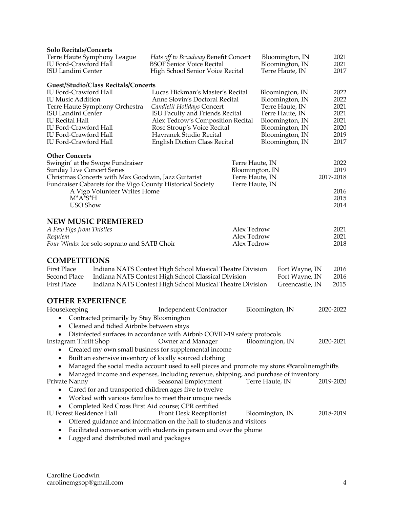| <b>Solo Recitals/Concerts</b><br>Terre Haute Symphony League<br>IU Ford-Crawford Hall<br><b>ISU Landini Center</b>                                                                                                                                                                     | Hats off to Broadway Benefit Concert<br><b>BSOF Senior Voice Recital</b><br>High School Senior Voice Recital                                                                                                                                                               |                                                                          | Bloomington, IN<br>Bloomington, IN<br>Terre Haute, IN                                                                                                | 2021<br>2021<br>2017                                         |
|----------------------------------------------------------------------------------------------------------------------------------------------------------------------------------------------------------------------------------------------------------------------------------------|----------------------------------------------------------------------------------------------------------------------------------------------------------------------------------------------------------------------------------------------------------------------------|--------------------------------------------------------------------------|------------------------------------------------------------------------------------------------------------------------------------------------------|--------------------------------------------------------------|
| <b>Guest/Studio/Class Recitals/Concerts</b><br><b>IU Ford-Crawford Hall</b><br><b>IU Music Addition</b><br>Terre Haute Symphony Orchestra<br><b>ISU Landini Center</b><br><b>IU Recital Hall</b><br>IU Ford-Crawford Hall<br>IU Ford-Crawford Hall<br><b>IU Ford-Crawford Hall</b>     | Lucas Hickman's Master's Recital<br>Anne Slovin's Doctoral Recital<br>Candlelit Holidays Concert<br>ISU Faculty and Friends Recital<br>Alex Tedrow's Composition Recital<br>Rose Stroup's Voice Recital<br>Havranek Studio Recital<br><b>English Diction Class Recital</b> |                                                                          | Bloomington, IN<br>Bloomington, IN<br>Terre Haute, IN<br>Terre Haute, IN<br>Bloomington, IN<br>Bloomington, IN<br>Bloomington, IN<br>Bloomington, IN | 2022<br>2022<br>2021<br>2021<br>2021<br>2020<br>2019<br>2017 |
| <b>Other Concerts</b><br>Swingin' at the Swope Fundraiser<br><b>Sunday Live Concert Series</b><br>Christmas Concerts with Max Goodwin, Jazz Guitarist<br>Fundraiser Cabarets for the Vigo County Historical Society<br>A Vigo Volunteer Writes Home<br>$M^*A^*S^*H$<br><b>USO Show</b> |                                                                                                                                                                                                                                                                            | Terre Haute, IN<br>Bloomington, IN<br>Terre Haute, IN<br>Terre Haute, IN |                                                                                                                                                      | 2022<br>2019<br>2017-2018<br>2016<br>2015<br>2014            |
| <b>NEW MUSIC PREMIERED</b><br>A Few Figs from Thistles<br>Requiem<br>Four Winds: for solo soprano and SATB Choir                                                                                                                                                                       |                                                                                                                                                                                                                                                                            | Alex Tedrow<br>Alex Tedrow<br>Alex Tedrow                                |                                                                                                                                                      | 2021<br>2021<br>2018                                         |
| <b>COMPETITIONS</b><br><b>First Place</b><br>Second Place<br><b>First Place</b>                                                                                                                                                                                                        | Indiana NATS Contest High School Musical Theatre Division<br>Indiana NATS Contest High School Classical Division<br>Indiana NATS Contest High School Musical Theatre Division                                                                                              |                                                                          | Fort Wayne, IN<br>Fort Wayne, IN<br>Greencastle, IN                                                                                                  | 2016<br>2016<br>2015                                         |
| <b>OTHER EXPERIENCE</b>                                                                                                                                                                                                                                                                |                                                                                                                                                                                                                                                                            |                                                                          |                                                                                                                                                      |                                                              |
| Housekeeping<br>Contracted primarily by Stay Bloomington                                                                                                                                                                                                                               | <b>Independent Contractor</b>                                                                                                                                                                                                                                              |                                                                          | Bloomington, IN                                                                                                                                      | 2020-2022                                                    |
| Cleaned and tidied Airbnbs between stays<br>$\bullet$<br>Instagram Thrift Shop<br>٠<br>Built an extensive inventory of locally sourced clothing<br>٠                                                                                                                                   | Disinfected surfaces in accordance with Airbnb COVID-19 safety protocols<br>Owner and Manager<br>Created my own small business for supplemental income                                                                                                                     |                                                                          | Bloomington, IN                                                                                                                                      | 2020-2021                                                    |
| $\bullet$                                                                                                                                                                                                                                                                              | Managed the social media account used to sell pieces and promote my store: @carolinemgthifts                                                                                                                                                                               |                                                                          |                                                                                                                                                      |                                                              |
| Private Nanny                                                                                                                                                                                                                                                                          | Managed income and expenses, including revenue, shipping, and purchase of inventory<br>Seasonal Employment                                                                                                                                                                 |                                                                          | Terre Haute, IN                                                                                                                                      | 2019-2020                                                    |
| Cared for and transported children ages five to twelve<br>٠                                                                                                                                                                                                                            |                                                                                                                                                                                                                                                                            |                                                                          |                                                                                                                                                      |                                                              |
|                                                                                                                                                                                                                                                                                        | Worked with various families to meet their unique needs                                                                                                                                                                                                                    |                                                                          |                                                                                                                                                      |                                                              |
| Completed Red Cross First Aid course; CPR certified<br><b>IU Forest Residence Hall</b>                                                                                                                                                                                                 | <b>Front Desk Receptionist</b>                                                                                                                                                                                                                                             |                                                                          | Bloomington, IN                                                                                                                                      | 2018-2019                                                    |
|                                                                                                                                                                                                                                                                                        | Offered guidance and information on the hall to students and visitors                                                                                                                                                                                                      |                                                                          |                                                                                                                                                      |                                                              |
|                                                                                                                                                                                                                                                                                        | Facilitated conversation with students in person and over the phone                                                                                                                                                                                                        |                                                                          |                                                                                                                                                      |                                                              |

• Logged and distributed mail and packages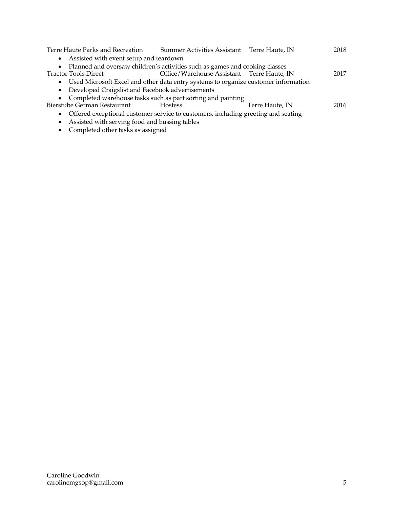| Terre Haute Parks and Recreation                                                               | Summer Activities Assistant Terre Haute, IN |                 | 2018 |
|------------------------------------------------------------------------------------------------|---------------------------------------------|-----------------|------|
| • Assisted with event setup and teardown                                                       |                                             |                 |      |
| • Planned and oversaw children's activities such as games and cooking classes                  |                                             |                 |      |
| <b>Tractor Tools Direct</b>                                                                    | Office/Warehouse Assistant Terre Haute, IN  |                 | 2017 |
| • Used Microsoft Excel and other data entry systems to organize customer information           |                                             |                 |      |
| • Developed Craigslist and Facebook advertisements                                             |                                             |                 |      |
| • Completed warehouse tasks such as part sorting and painting                                  |                                             |                 |      |
| Bierstube German Restaurant                                                                    | <b>Hostess</b>                              | Terre Haute, IN | 2016 |
| Offered exceptional customer service to customers, including greeting and seating<br>$\bullet$ |                                             |                 |      |
| Assisted with serving food and bussing tables<br>$\bullet$                                     |                                             |                 |      |

• Completed other tasks as assigned